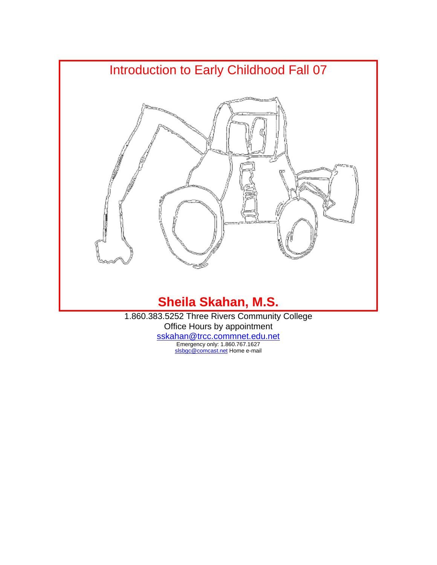

1.860.383.5252 Three Rivers Community College Office Hours by appointment

> [sskahan@trcc.commnet.edu.net](mailto:sskahan@trcc.commnet.edu.net) Emergency only: 1.860.767.1627 [slsbgc@comcast.net](mailto:slsbgc@comcast.net) Home e-mail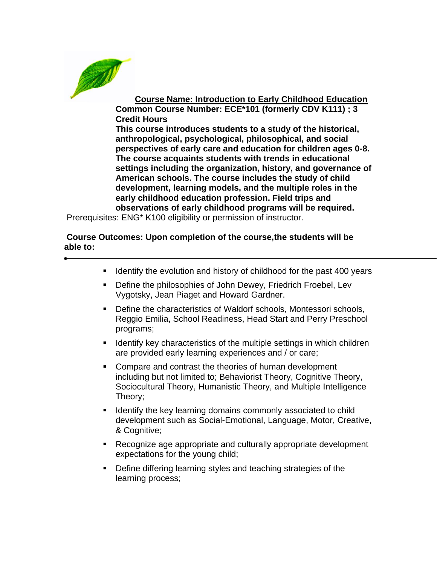

**Course Name: Introduction to Early Childhood Education Common Course Number: ECE\*101 (formerly CDV K111) ; 3 Credit Hours**

**This course introduces students to a study of the historical, anthropological, psychological, philosophical, and social perspectives of early care and education for children ages 0-8. The course acquaints students with trends in educational settings including the organization, history, and governance of American schools. The course includes the study of child development, learning models, and the multiple roles in the early childhood education profession. Field trips and observations of early childhood programs will be required.**

Prerequisites: ENG\* K100 eligibility or permission of instructor.

#### **Course Outcomes: Upon completion of the course,the students will be able to:**

- **If Identify the evolution and history of childhood for the past 400 years**
- **•** Define the philosophies of John Dewey, Friedrich Froebel, Lev Vygotsky, Jean Piaget and Howard Gardner.
- Define the characteristics of Waldorf schools, Montessori schools, Reggio Emilia, School Readiness, Head Start and Perry Preschool programs;
- **If Identify key characteristics of the multiple settings in which children** are provided early learning experiences and / or care;
- **Compare and contrast the theories of human development** including but not limited to; Behaviorist Theory, Cognitive Theory, Sociocultural Theory, Humanistic Theory, and Multiple Intelligence Theory;
- **If Identify the key learning domains commonly associated to child** development such as Social-Emotional, Language, Motor, Creative, & Cognitive;
- Recognize age appropriate and culturally appropriate development expectations for the young child;
- Define differing learning styles and teaching strategies of the learning process;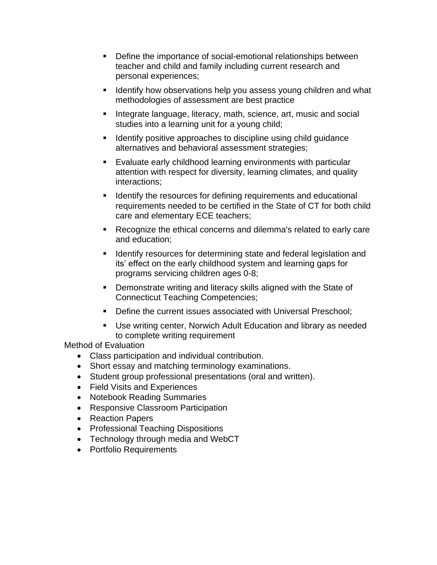- Define the importance of social-emotional relationships between teacher and child and family including current research and personal experiences;
- **If Identify how observations help you assess young children and what** methodologies of assessment are best practice
- **Integrate language, literacy, math, science, art, music and social** studies into a learning unit for a young child;
- **If Identify positive approaches to discipline using child guidance** alternatives and behavioral assessment strategies;
- Evaluate early childhood learning environments with particular attention with respect for diversity, learning climates, and quality interactions;
- **If** Identify the resources for defining requirements and educational requirements needed to be certified in the State of CT for both child care and elementary ECE teachers;
- Recognize the ethical concerns and dilemma's related to early care and education;
- **If Identify resources for determining state and federal legislation and** its' effect on the early childhood system and learning gaps for programs servicing children ages 0-8;
- Demonstrate writing and literacy skills aligned with the State of Connecticut Teaching Competencies;
- Define the current issues associated with Universal Preschool;
- Use writing center, Norwich Adult Education and library as needed to complete writing requirement

Method of Evaluation

- Class participation and individual contribution.
- Short essay and matching terminology examinations.
- Student group professional presentations (oral and written).
- Field Visits and Experiences
- Notebook Reading Summaries
- Responsive Classroom Participation
- Reaction Papers
- Professional Teaching Dispositions
- Technology through media and WebCT
- Portfolio Requirements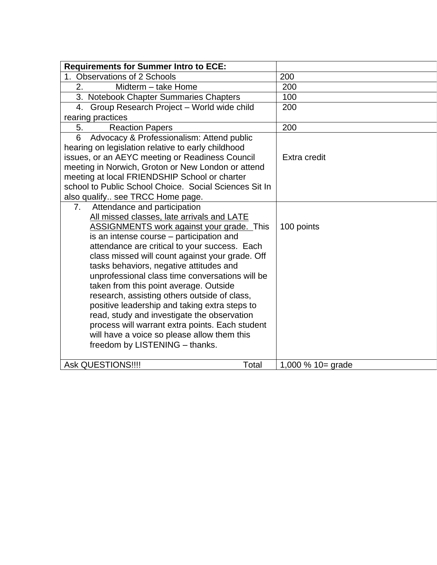| <b>Requirements for Summer Intro to ECE:</b>                                                     |                            |
|--------------------------------------------------------------------------------------------------|----------------------------|
| 1. Observations of 2 Schools                                                                     | 200                        |
| 2.<br>Midterm - take Home                                                                        | 200                        |
| 3. Notebook Chapter Summaries Chapters                                                           | 100                        |
| Group Research Project - World wide child<br>4.                                                  | 200                        |
| rearing practices                                                                                |                            |
| 5.<br><b>Reaction Papers</b>                                                                     | 200                        |
| 6<br>Advocacy & Professionalism: Attend public                                                   |                            |
| hearing on legislation relative to early childhood                                               |                            |
| issues, or an AEYC meeting or Readiness Council                                                  | Extra credit               |
| meeting in Norwich, Groton or New London or attend                                               |                            |
| meeting at local FRIENDSHIP School or charter                                                    |                            |
| school to Public School Choice. Social Sciences Sit In                                           |                            |
| also qualify see TRCC Home page.                                                                 |                            |
| Attendance and participation<br>7.                                                               |                            |
| All missed classes, late arrivals and LATE                                                       |                            |
| <b>ASSIGNMENTS work against your grade.</b> This                                                 | 100 points                 |
| is an intense course – participation and                                                         |                            |
| attendance are critical to your success. Each<br>class missed will count against your grade. Off |                            |
| tasks behaviors, negative attitudes and                                                          |                            |
| unprofessional class time conversations will be                                                  |                            |
| taken from this point average. Outside                                                           |                            |
| research, assisting others outside of class,                                                     |                            |
| positive leadership and taking extra steps to                                                    |                            |
| read, study and investigate the observation                                                      |                            |
| process will warrant extra points. Each student                                                  |                            |
| will have a voice so please allow them this                                                      |                            |
| freedom by LISTENING - thanks.                                                                   |                            |
|                                                                                                  |                            |
| <b>Ask QUESTIONS!!!!</b>                                                                         | Total<br>1,000 % 10= grade |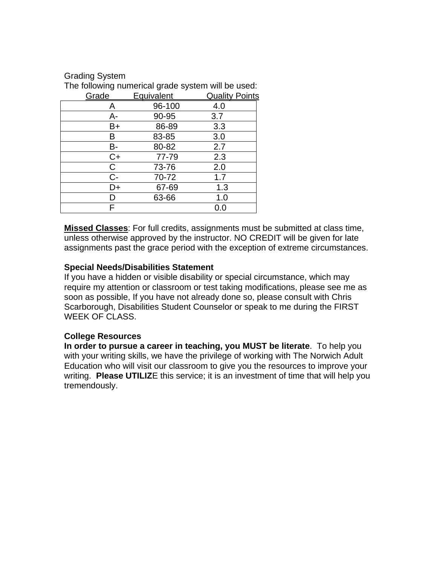| The following numerical grade system will be used: |            |                       |  |  |  |  |
|----------------------------------------------------|------------|-----------------------|--|--|--|--|
| Grade                                              | Equivalent | <b>Quality Points</b> |  |  |  |  |
| A                                                  | 96-100     | 4.0                   |  |  |  |  |
| A-                                                 | 90-95      | 3.7                   |  |  |  |  |
| B+                                                 | 86-89      | 3.3                   |  |  |  |  |
| B                                                  | 83-85      | 3.0                   |  |  |  |  |
| В-                                                 | 80-82      | 2.7                   |  |  |  |  |
| C+                                                 | 77-79      | 2.3                   |  |  |  |  |
| С                                                  | 73-76      | 2.0                   |  |  |  |  |
| $C -$                                              | 70-72      | 1.7                   |  |  |  |  |
| D+                                                 | 67-69      | 1.3                   |  |  |  |  |
| I)                                                 | 63-66      | 1.0                   |  |  |  |  |
| F                                                  |            | 0.0                   |  |  |  |  |

**Missed Classes**: For full credits, assignments must be submitted at class time, unless otherwise approved by the instructor. NO CREDIT will be given for late assignments past the grace period with the exception of extreme circumstances.

#### **Special Needs/Disabilities Statement**

If you have a hidden or visible disability or special circumstance, which may require my attention or classroom or test taking modifications, please see me as soon as possible, If you have not already done so, please consult with Chris Scarborough, Disabilities Student Counselor or speak to me during the FIRST WEEK OF CLASS.

#### **College Resources**

Grading System

**In order to pursue a career in teaching, you MUST be literate**. To help you with your writing skills, we have the privilege of working with The Norwich Adult Education who will visit our classroom to give you the resources to improve your writing. **Please UTILIZ**E this service; it is an investment of time that will help you tremendously.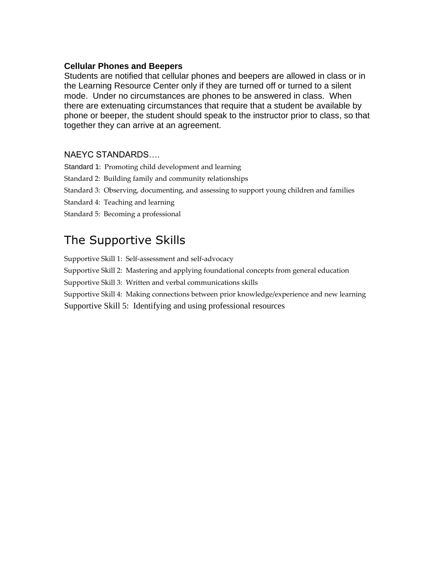#### **Cellular Phones and Beepers**

Students are notified that cellular phones and beepers are allowed in class or in the Learning Resource Center only if they are turned off or turned to a silent mode. Under no circumstances are phones to be answered in class. When there are extenuating circumstances that require that a student be available by phone or beeper, the student should speak to the instructor prior to class, so that together they can arrive at an agreement.

#### NAEYC STANDARDS….

Standard 1: Promoting child development and learning

- Standard 2: Building family and community relationships
- Standard 3: Observing, documenting, and assessing to support young children and families
- Standard 4: Teaching and learning
- Standard 5: Becoming a professional

# The Supportive Skills

Supportive Skill 1: Self-assessment and self-advocacy

Supportive Skill 2: Mastering and applying foundational concepts from general education

Supportive Skill 3: Written and verbal communications skills

Supportive Skill 4: Making connections between prior knowledge/experience and new learning Supportive Skill 5: Identifying and using professional resources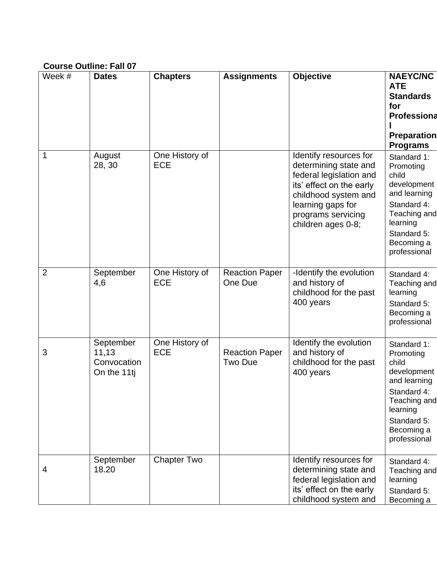## **Course Outline: Fall 07**

| Week #         | <b>Dates</b>                                     | <b>Chapters</b>              | <b>Assignments</b>                      | <b>Objective</b>                                                                                                                                                                                | <b>NAEYC/NC</b><br><b>ATE</b><br><b>Standards</b><br>for<br>Professiona<br><b>Preparation</b><br><b>Programs</b>                                         |
|----------------|--------------------------------------------------|------------------------------|-----------------------------------------|-------------------------------------------------------------------------------------------------------------------------------------------------------------------------------------------------|----------------------------------------------------------------------------------------------------------------------------------------------------------|
| 1              | August<br>28, 30                                 | One History of<br><b>ECE</b> |                                         | Identify resources for<br>determining state and<br>federal legislation and<br>its' effect on the early<br>childhood system and<br>learning gaps for<br>programs servicing<br>children ages 0-8; | Standard 1:<br>Promoting<br>child<br>development<br>and learning<br>Standard 4:<br>Teaching and<br>learning<br>Standard 5:<br>Becoming a<br>professional |
| $\overline{2}$ | September<br>4,6                                 | One History of<br><b>ECE</b> | <b>Reaction Paper</b><br>One Due        | -Identify the evolution<br>and history of<br>childhood for the past<br>400 years                                                                                                                | Standard 4:<br>Teaching and<br>learning<br>Standard 5:<br>Becoming a<br>professional                                                                     |
| 3              | September<br>11,13<br>Convocation<br>On the 11ti | One History of<br><b>ECE</b> | <b>Reaction Paper</b><br><b>Two Due</b> | Identify the evolution<br>and history of<br>childhood for the past<br>400 years                                                                                                                 | Standard 1:<br>Promoting<br>child<br>development<br>and learning<br>Standard 4:<br>Teaching and<br>learning<br>Standard 5:<br>Becoming a<br>professional |
| 4              | September<br>18.20                               | <b>Chapter Two</b>           |                                         | Identify resources for<br>determining state and<br>federal legislation and<br>its' effect on the early<br>childhood system and                                                                  | Standard 4:<br>Teaching and<br>learning<br>Standard 5:<br>Becoming a                                                                                     |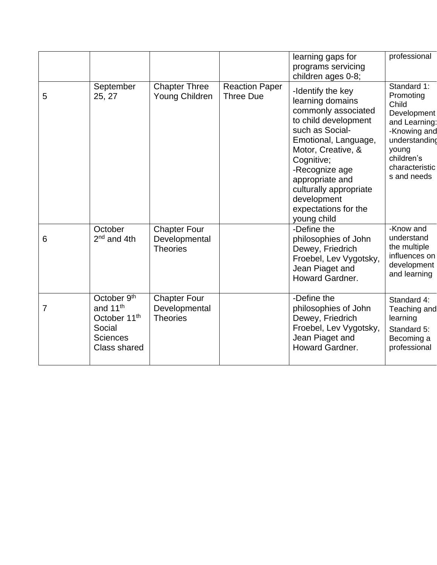|   |                                                                                                              |                                                         |                                           | learning gaps for<br>programs servicing<br>children ages 0-8;                                                                                                                                                                                                                            | professional                                                                                                                                               |
|---|--------------------------------------------------------------------------------------------------------------|---------------------------------------------------------|-------------------------------------------|------------------------------------------------------------------------------------------------------------------------------------------------------------------------------------------------------------------------------------------------------------------------------------------|------------------------------------------------------------------------------------------------------------------------------------------------------------|
| 5 | September<br>25, 27                                                                                          | <b>Chapter Three</b><br>Young Children                  | <b>Reaction Paper</b><br><b>Three Due</b> | -Identify the key<br>learning domains<br>commonly associated<br>to child development<br>such as Social-<br>Emotional, Language,<br>Motor, Creative, &<br>Cognitive;<br>-Recognize age<br>appropriate and<br>culturally appropriate<br>development<br>expectations for the<br>young child | Standard 1:<br>Promoting<br>Child<br>Development<br>and Learning:<br>-Knowing and<br>understanding<br>young<br>children's<br>characteristic<br>s and needs |
| 6 | October<br>$2nd$ and 4th                                                                                     | <b>Chapter Four</b><br>Developmental<br><b>Theories</b> |                                           | -Define the<br>philosophies of John<br>Dewey, Friedrich<br>Froebel, Lev Vygotsky,<br>Jean Piaget and<br>Howard Gardner.                                                                                                                                                                  | -Know and<br>understand<br>the multiple<br>influences on<br>development<br>and learning                                                                    |
| 7 | October 9th<br>and 11 <sup>th</sup><br>October 11 <sup>th</sup><br>Social<br><b>Sciences</b><br>Class shared | <b>Chapter Four</b><br>Developmental<br><b>Theories</b> |                                           | -Define the<br>philosophies of John<br>Dewey, Friedrich<br>Froebel, Lev Vygotsky,<br>Jean Piaget and<br><b>Howard Gardner.</b>                                                                                                                                                           | Standard 4:<br>Teaching and<br>learning<br>Standard 5:<br>Becoming a<br>professional                                                                       |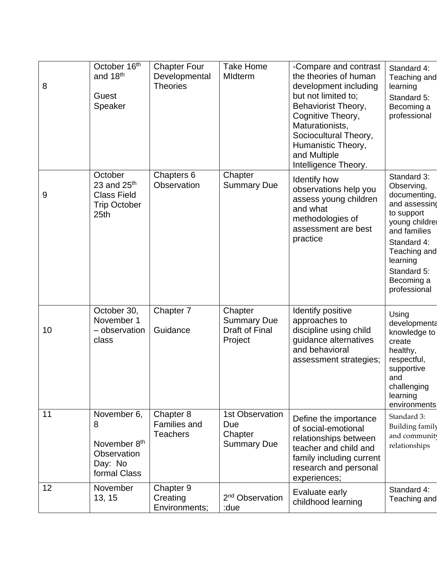| 8  | October 16 <sup>th</sup><br>and 18 <sup>th</sup><br>Guest<br>Speaker                      | <b>Chapter Four</b><br>Developmental<br><b>Theories</b> | <b>Take Home</b><br>MIdterm                                    | -Compare and contrast<br>the theories of human<br>development including<br>but not limited to;<br>Behaviorist Theory,<br>Cognitive Theory,<br>Maturationists,<br>Sociocultural Theory,<br>Humanistic Theory,<br>and Multiple<br>Intelligence Theory. | Standard 4:<br>Teaching and<br>learning<br>Standard 5:<br>Becoming a<br>professional                                                                                                               |
|----|-------------------------------------------------------------------------------------------|---------------------------------------------------------|----------------------------------------------------------------|------------------------------------------------------------------------------------------------------------------------------------------------------------------------------------------------------------------------------------------------------|----------------------------------------------------------------------------------------------------------------------------------------------------------------------------------------------------|
| 9  | October<br>23 and $25th$<br><b>Class Field</b><br><b>Trip October</b><br>25 <sub>th</sub> | Chapters 6<br>Observation                               | Chapter<br><b>Summary Due</b>                                  | Identify how<br>observations help you<br>assess young children<br>and what<br>methodologies of<br>assessment are best<br>practice                                                                                                                    | Standard 3:<br>Observing,<br>documenting,<br>and assessing<br>to support<br>young childrei<br>and families<br>Standard 4:<br>Teaching and<br>learning<br>Standard 5:<br>Becoming a<br>professional |
| 10 | October 30,<br>November 1<br>- observation<br>class                                       | Chapter 7<br>Guidance                                   | Chapter<br><b>Summary Due</b><br>Draft of Final<br>Project     | Identify positive<br>approaches to<br>discipline using child<br>guidance alternatives<br>and behavioral<br>assessment strategies;                                                                                                                    | Using<br>developmenta<br>knowledge to<br>create<br>healthy,<br>respectful,<br>supportive<br>and<br>challenging<br>learning<br>environments                                                         |
| 11 | November 6,<br>8<br>November 8th<br>Observation<br>Day: No<br>formal Class                | Chapter 8<br><b>Families and</b><br><b>Teachers</b>     | <b>1st Observation</b><br>Due<br>Chapter<br><b>Summary Due</b> | Define the importance<br>of social-emotional<br>relationships between<br>teacher and child and<br>family including current<br>research and personal<br>experiences;                                                                                  | Standard 3:<br><b>Building family</b><br>and community<br>relationships                                                                                                                            |
| 12 | November<br>13, 15                                                                        | Chapter 9<br>Creating<br>Environments;                  | 2 <sup>nd</sup> Observation<br>:due                            | Evaluate early<br>childhood learning                                                                                                                                                                                                                 | Standard 4:<br>Teaching and                                                                                                                                                                        |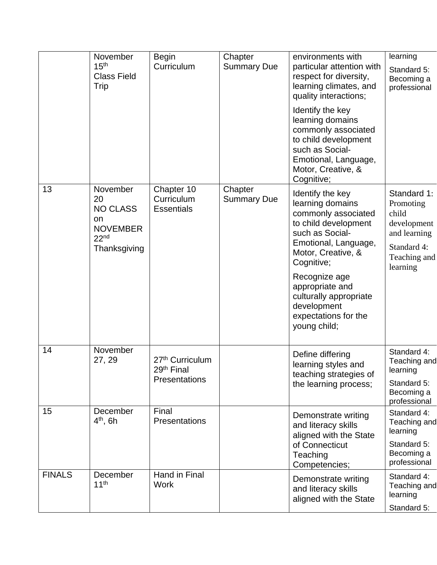|               | November<br>15 <sup>th</sup><br><b>Class Field</b><br>Trip                                     | <b>Begin</b><br>Curriculum                                             | Chapter<br><b>Summary Due</b> | environments with<br>particular attention with<br>respect for diversity,<br>learning climates, and<br>quality interactions;<br>Identify the key<br>learning domains<br>commonly associated<br>to child development<br>such as Social-                                                   | learning<br>Standard 5:<br>Becoming a<br>professional                                                       |
|---------------|------------------------------------------------------------------------------------------------|------------------------------------------------------------------------|-------------------------------|-----------------------------------------------------------------------------------------------------------------------------------------------------------------------------------------------------------------------------------------------------------------------------------------|-------------------------------------------------------------------------------------------------------------|
|               |                                                                                                |                                                                        |                               | Emotional, Language,<br>Motor, Creative, &<br>Cognitive;                                                                                                                                                                                                                                |                                                                                                             |
| 13            | November<br>20<br><b>NO CLASS</b><br>on<br><b>NOVEMBER</b><br>22 <sup>nd</sup><br>Thanksgiving | Chapter 10<br>Curriculum<br><b>Essentials</b>                          | Chapter<br><b>Summary Due</b> | Identify the key<br>learning domains<br>commonly associated<br>to child development<br>such as Social-<br>Emotional, Language,<br>Motor, Creative, &<br>Cognitive;<br>Recognize age<br>appropriate and<br>culturally appropriate<br>development<br>expectations for the<br>young child; | Standard 1:<br>Promoting<br>child<br>development<br>and learning<br>Standard 4:<br>Teaching and<br>learning |
| 14            | November<br>27, 29                                                                             | 27 <sup>th</sup> Curriculum<br>29 <sup>th</sup> Final<br>Presentations |                               | Define differing<br>learning styles and<br>teaching strategies of<br>the learning process;                                                                                                                                                                                              | Standard 4:<br>Teaching and<br>learning<br>Standard 5:<br>Becoming a                                        |
| 15            | December<br>$4th$ , 6h                                                                         | Final<br><b>Presentations</b>                                          |                               | Demonstrate writing<br>and literacy skills<br>aligned with the State<br>of Connecticut<br>Teaching<br>Competencies;                                                                                                                                                                     | professional<br>Standard 4:<br>Teaching and<br>learning<br>Standard 5:<br>Becoming a<br>professional        |
| <b>FINALS</b> | December<br>11 <sup>th</sup>                                                                   | Hand in Final<br><b>Work</b>                                           |                               | Demonstrate writing<br>and literacy skills<br>aligned with the State                                                                                                                                                                                                                    | Standard 4:<br>Teaching and<br>learning<br>Standard 5:                                                      |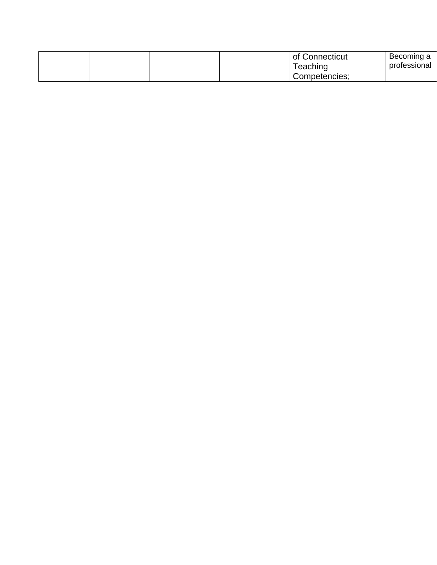|  |  | of Connecticut | Becoming a<br>professional |
|--|--|----------------|----------------------------|
|  |  | Teaching       |                            |
|  |  | Competencies;  |                            |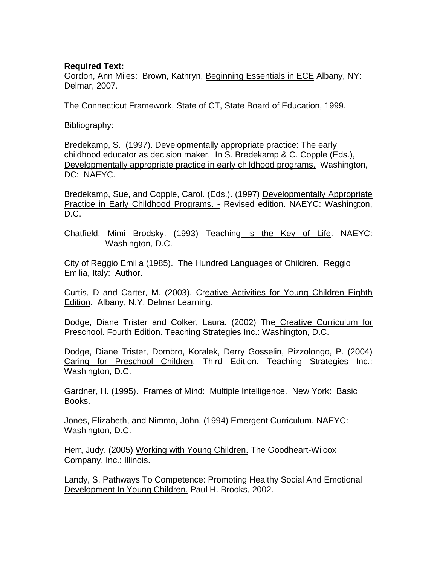#### **Required Text:**

Gordon, Ann Miles: Brown, Kathryn, Beginning Essentials in ECE Albany, NY: Delmar, 2007.

The Connecticut Framework, State of CT, State Board of Education, 1999.

Bibliography:

Bredekamp, S. (1997). Developmentally appropriate practice: The early childhood educator as decision maker. In S. Bredekamp & C. Copple (Eds.), Developmentally appropriate practice in early childhood programs. Washington, DC: NAEYC.

Bredekamp, Sue, and Copple, Carol. (Eds.). (1997) Developmentally Appropriate Practice in Early Childhood Programs. - Revised edition. NAEYC: Washington, D.C.

Chatfield, Mimi Brodsky. (1993) Teaching is the Key of Life. NAEYC: Washington, D.C.

City of Reggio Emilia (1985). The Hundred Languages of Children. Reggio Emilia, Italy: Author.

Curtis, D and Carter, M. (2003). Creative Activities for Young Children Eighth Edition. Albany, N.Y. Delmar Learning.

Dodge, Diane Trister and Colker, Laura. (2002) The Creative Curriculum for Preschool. Fourth Edition. Teaching Strategies Inc.: Washington, D.C.

Dodge, Diane Trister, Dombro, Koralek, Derry Gosselin, Pizzolongo, P. (2004) Caring for Preschool Children. Third Edition. Teaching Strategies Inc.: Washington, D.C.

Gardner, H. (1995). Frames of Mind: Multiple Intelligence. New York: Basic Books.

Jones, Elizabeth, and Nimmo, John. (1994) Emergent Curriculum. NAEYC: Washington, D.C.

Herr, Judy. (2005) Working with Young Children. The Goodheart-Wilcox Company, Inc.: Illinois.

Landy, S. Pathways To Competence: Promoting Healthy Social And Emotional Development In Young Children. Paul H. Brooks, 2002.